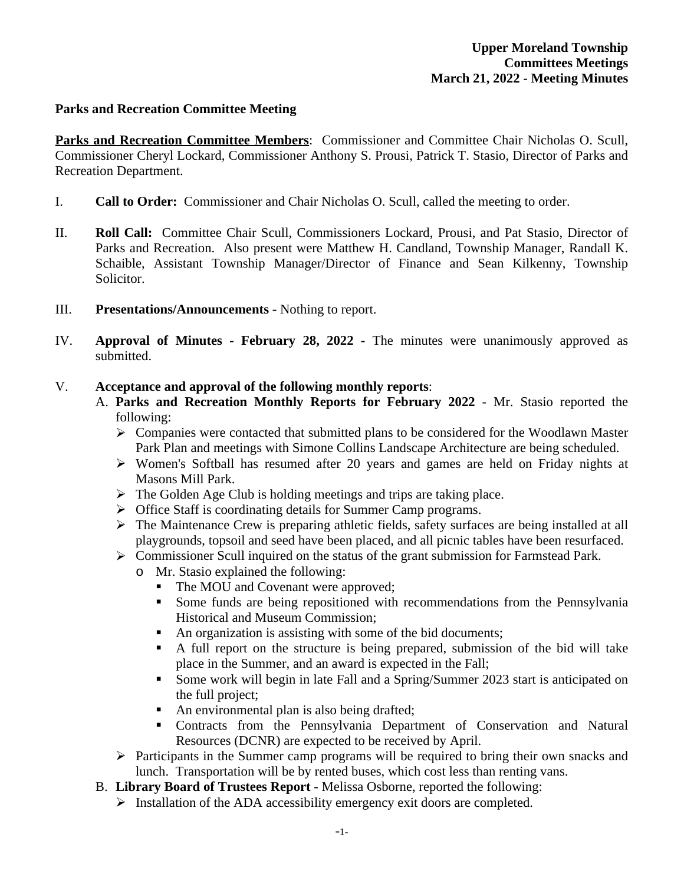## **Parks and Recreation Committee Meeting**

**Parks and Recreation Committee Members**: Commissioner and Committee Chair Nicholas O. Scull, Commissioner Cheryl Lockard, Commissioner Anthony S. Prousi, Patrick T. Stasio, Director of Parks and Recreation Department.

- I. **Call to Order:** Commissioner and Chair Nicholas O. Scull, called the meeting to order.
- II. **Roll Call:** Committee Chair Scull, Commissioners Lockard, Prousi, and Pat Stasio, Director of Parks and Recreation. Also present were Matthew H. Candland, Township Manager, Randall K. Schaible, Assistant Township Manager/Director of Finance and Sean Kilkenny, Township Solicitor.
- III. **Presentations/Announcements** Nothing to report.
- IV. **Approval of Minutes - February 28, 2022 -** The minutes were unanimously approved as submitted.

### V. **Acceptance and approval of the following monthly reports**:

- A. **Parks and Recreation Monthly Reports for February 2022** Mr. Stasio reported the following:
	- $\triangleright$  Companies were contacted that submitted plans to be considered for the Woodlawn Master Park Plan and meetings with Simone Collins Landscape Architecture are being scheduled.
	- Women's Softball has resumed after 20 years and games are held on Friday nights at Masons Mill Park.
	- $\triangleright$  The Golden Age Club is holding meetings and trips are taking place.
	- **F** Office Staff is coordinating details for Summer Camp programs.
	- $\triangleright$  The Maintenance Crew is preparing athletic fields, safety surfaces are being installed at all playgrounds, topsoil and seed have been placed, and all picnic tables have been resurfaced.
	- $\triangleright$  Commissioner Scull inquired on the status of the grant submission for Farmstead Park.
		- o Mr. Stasio explained the following:
			- The MOU and Covenant were approved;
			- Some funds are being repositioned with recommendations from the Pennsylvania Historical and Museum Commission;
			- An organization is assisting with some of the bid documents;
			- A full report on the structure is being prepared, submission of the bid will take place in the Summer, and an award is expected in the Fall;
			- Some work will begin in late Fall and a Spring/Summer 2023 start is anticipated on the full project;
			- An environmental plan is also being drafted;
			- Contracts from the Pennsylvania Department of Conservation and Natural Resources (DCNR) are expected to be received by April.
	- $\triangleright$  Participants in the Summer camp programs will be required to bring their own snacks and lunch. Transportation will be by rented buses, which cost less than renting vans.
- B. **Library Board of Trustees Report** Melissa Osborne, reported the following:
	- $\triangleright$  Installation of the ADA accessibility emergency exit doors are completed.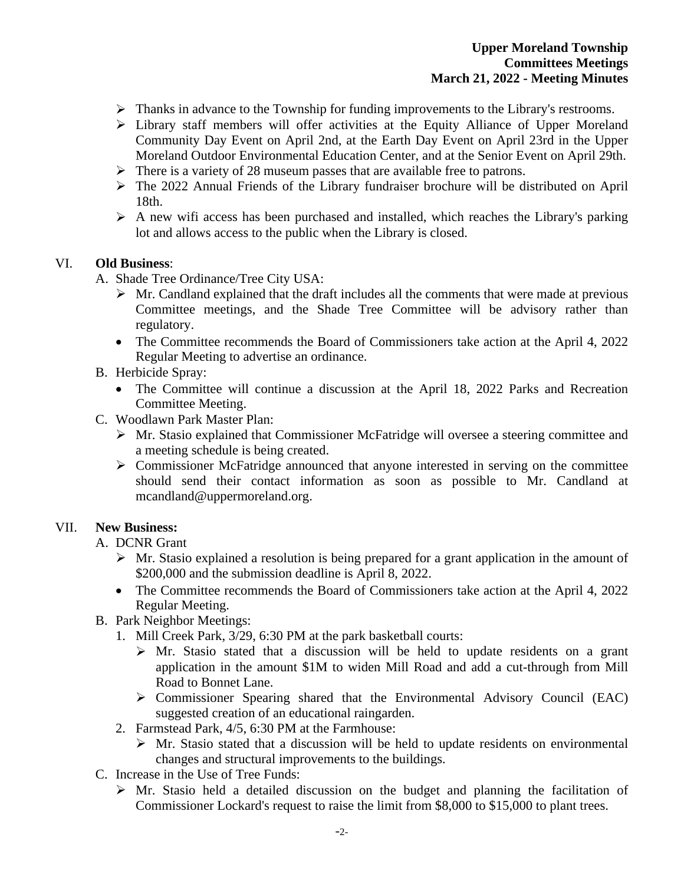- > Thanks in advance to the Township for funding improvements to the Library's restrooms.
- Library staff members will offer activities at the Equity Alliance of Upper Moreland Community Day Event on April 2nd, at the Earth Day Event on April 23rd in the Upper Moreland Outdoor Environmental Education Center, and at the Senior Event on April 29th.
- $\triangleright$  There is a variety of 28 museum passes that are available free to patrons.
- The 2022 Annual Friends of the Library fundraiser brochure will be distributed on April 18th.
- $\triangleright$  A new wifi access has been purchased and installed, which reaches the Library's parking lot and allows access to the public when the Library is closed.

#### VI. **Old Business**:

- A. Shade Tree Ordinance/Tree City USA:
	- $\triangleright$  Mr. Candland explained that the draft includes all the comments that were made at previous Committee meetings, and the Shade Tree Committee will be advisory rather than regulatory.
	- The Committee recommends the Board of Commissioners take action at the April 4, 2022 Regular Meeting to advertise an ordinance.

### B. Herbicide Spray:

- The Committee will continue a discussion at the April 18, 2022 Parks and Recreation Committee Meeting.
- C. Woodlawn Park Master Plan:
	- Mr. Stasio explained that Commissioner McFatridge will oversee a steering committee and a meeting schedule is being created.
	- $\triangleright$  Commissioner McFatridge announced that anyone interested in serving on the committee should send their contact information as soon as possible to Mr. Candland at mcandland@uppermoreland.org.

### VII. **New Business:**

- A. DCNR Grant
	- $\triangleright$  Mr. Stasio explained a resolution is being prepared for a grant application in the amount of \$200,000 and the submission deadline is April 8, 2022.
	- The Committee recommends the Board of Commissioners take action at the April 4, 2022 Regular Meeting.
- B. Park Neighbor Meetings:
	- 1. Mill Creek Park, 3/29, 6:30 PM at the park basketball courts:
		- $\triangleright$  Mr. Stasio stated that a discussion will be held to update residents on a grant application in the amount \$1M to widen Mill Road and add a cut-through from Mill Road to Bonnet Lane.
		- $\triangleright$  Commissioner Spearing shared that the Environmental Advisory Council (EAC) suggested creation of an educational raingarden.
	- 2. Farmstead Park, 4/5, 6:30 PM at the Farmhouse:
		- $\triangleright$  Mr. Stasio stated that a discussion will be held to update residents on environmental changes and structural improvements to the buildings.
- C. Increase in the Use of Tree Funds:
	- $\triangleright$  Mr. Stasio held a detailed discussion on the budget and planning the facilitation of Commissioner Lockard's request to raise the limit from \$8,000 to \$15,000 to plant trees.